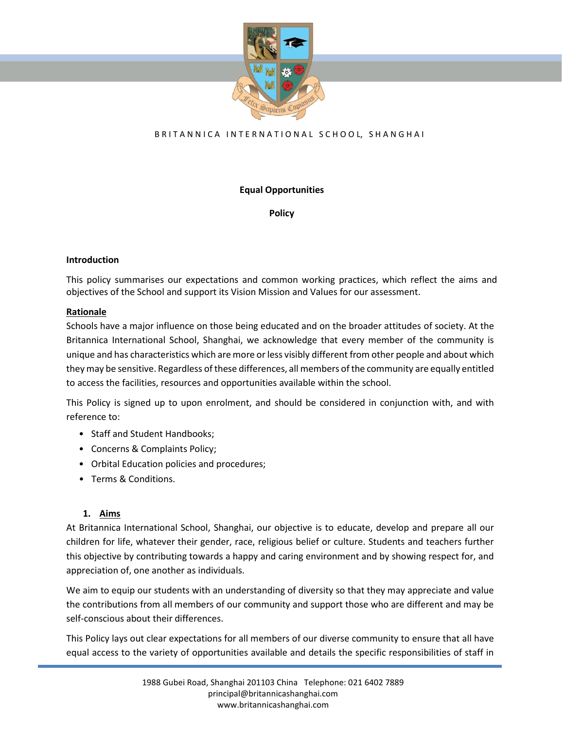

### BRITANNICA INTERNATIONAL SCHOOL, SHANGHAI

### **Equal Opportunities**

**Policy**

### **Introduction**

This policy summarises our expectations and common working practices, which reflect the aims and objectives of the School and support its Vision Mission and Values for our assessment.

### **Rationale**

Schools have a major influence on those being educated and on the broader attitudes of society. At the Britannica International School, Shanghai, we acknowledge that every member of the community is unique and has characteristics which are more or less visibly different from other people and about which they may be sensitive. Regardless of these differences, all members of the community are equally entitled to access the facilities, resources and opportunities available within the school.

This Policy is signed up to upon enrolment, and should be considered in conjunction with, and with reference to:

- Staff and Student Handbooks;
- Concerns & Complaints Policy;
- Orbital Education policies and procedures;
- Terms & Conditions.

#### **1. Aims**

At Britannica International School, Shanghai, our objective is to educate, develop and prepare all our children for life, whatever their gender, race, religious belief or culture. Students and teachers further this objective by contributing towards a happy and caring environment and by showing respect for, and appreciation of, one another as individuals.

We aim to equip our students with an understanding of diversity so that they may appreciate and value the contributions from all members of our community and support those who are different and may be self-conscious about their differences.

This Policy lays out clear expectations for all members of our diverse community to ensure that all have equal access to the variety of opportunities available and details the specific responsibilities of staff in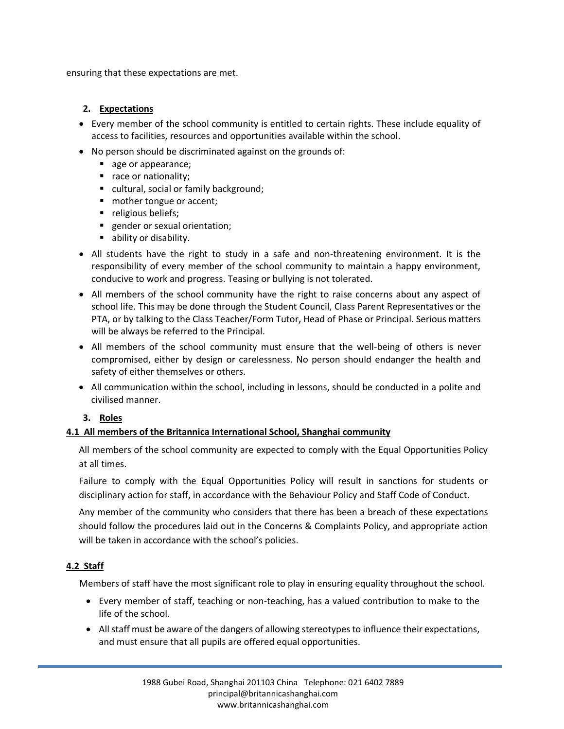ensuring that these expectations are met.

### **2. Expectations**

- Every member of the school community is entitled to certain rights. These include equality of access to facilities, resources and opportunities available within the school.
- No person should be discriminated against on the grounds of:
	- age or appearance;
	- race or nationality;
	- cultural, social or family background;
	- mother tongue or accent;
	- religious beliefs;
	- gender or sexual orientation;
	- ability or disability.
- All students have the right to study in a safe and non-threatening environment. It is the responsibility of every member of the school community to maintain a happy environment, conducive to work and progress. Teasing or bullying is not tolerated.
- All members of the school community have the right to raise concerns about any aspect of school life. This may be done through the Student Council, Class Parent Representatives or the PTA, or by talking to the Class Teacher/Form Tutor, Head of Phase or Principal. Serious matters will be always be referred to the Principal.
- All members of the school community must ensure that the well-being of others is never compromised, either by design or carelessness. No person should endanger the health and safety of either themselves or others.
- All communication within the school, including in lessons, should be conducted in a polite and civilised manner.

# **3. Roles**

# **4.1 All members of the Britannica International School, Shanghai community**

All members of the school community are expected to comply with the Equal Opportunities Policy at all times.

Failure to comply with the Equal Opportunities Policy will result in sanctions for students or disciplinary action for staff, in accordance with the Behaviour Policy and Staff Code of Conduct.

Any member of the community who considers that there has been a breach of these expectations should follow the procedures laid out in the Concerns & Complaints Policy, and appropriate action will be taken in accordance with the school's policies.

# **4.2 Staff**

Members of staff have the most significant role to play in ensuring equality throughout the school.

- Every member of staff, teaching or non-teaching, has a valued contribution to make to the life of the school.
- All staff must be aware of the dangers of allowing stereotypes to influence their expectations, and must ensure that all pupils are offered equal opportunities.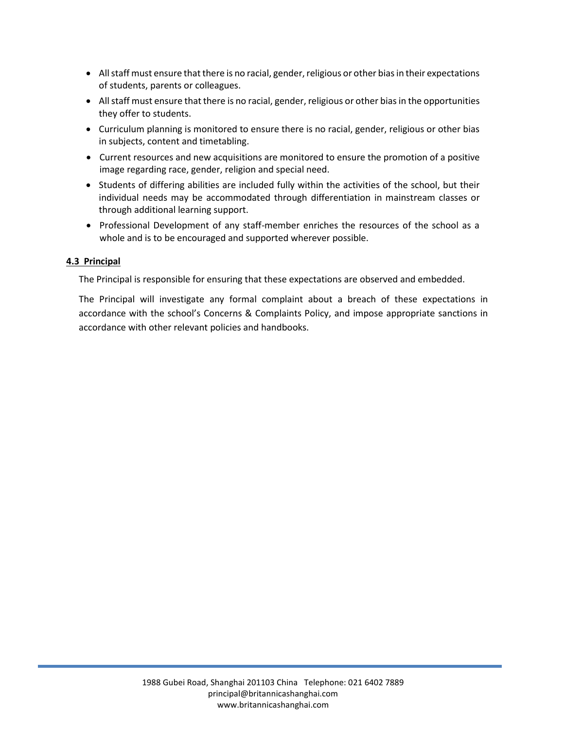- All staff must ensure that there is no racial, gender, religious or other bias in their expectations of students, parents or colleagues.
- All staff must ensure that there is no racial, gender, religious or other bias in the opportunities they offer to students.
- Curriculum planning is monitored to ensure there is no racial, gender, religious or other bias in subjects, content and timetabling.
- Current resources and new acquisitions are monitored to ensure the promotion of a positive image regarding race, gender, religion and special need.
- Students of differing abilities are included fully within the activities of the school, but their individual needs may be accommodated through differentiation in mainstream classes or through additional learning support.
- Professional Development of any staff-member enriches the resources of the school as a whole and is to be encouraged and supported wherever possible.

### **4.3 Principal**

The Principal is responsible for ensuring that these expectations are observed and embedded.

The Principal will investigate any formal complaint about a breach of these expectations in accordance with the school's Concerns & Complaints Policy, and impose appropriate sanctions in accordance with other relevant policies and handbooks.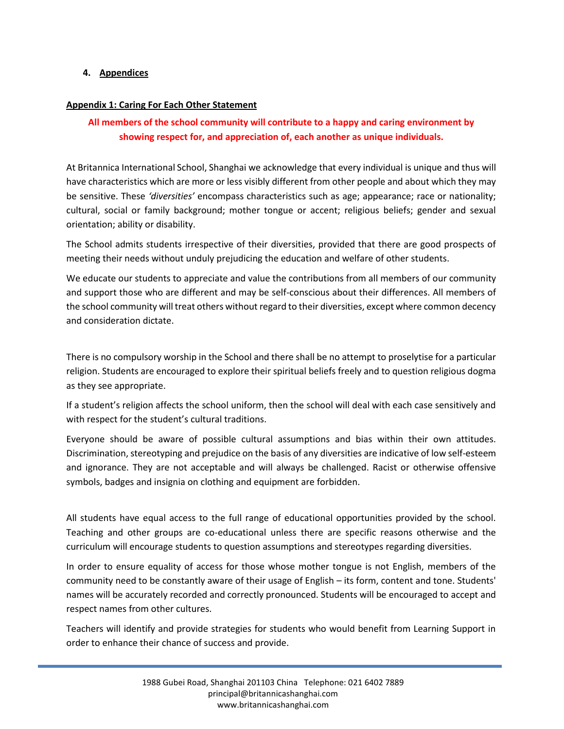#### **4. Appendices**

#### **Appendix 1: Caring For Each Other Statement**

# **All members of the school community will contribute to a happy and caring environment by showing respect for, and appreciation of, each another as unique individuals.**

At Britannica International School, Shanghai we acknowledge that every individual is unique and thus will have characteristics which are more or less visibly different from other people and about which they may be sensitive. These *'diversities'* encompass characteristics such as age; appearance; race or nationality; cultural, social or family background; mother tongue or accent; religious beliefs; gender and sexual orientation; ability or disability.

The School admits students irrespective of their diversities, provided that there are good prospects of meeting their needs without unduly prejudicing the education and welfare of other students.

We educate our students to appreciate and value the contributions from all members of our community and support those who are different and may be self-conscious about their differences. All members of the school community will treat others without regard to their diversities, except where common decency and consideration dictate.

There is no compulsory worship in the School and there shall be no attempt to proselytise for a particular religion. Students are encouraged to explore their spiritual beliefs freely and to question religious dogma as they see appropriate.

If a student's religion affects the school uniform, then the school will deal with each case sensitively and with respect for the student's cultural traditions.

Everyone should be aware of possible cultural assumptions and bias within their own attitudes. Discrimination, stereotyping and prejudice on the basis of any diversities are indicative of low self-esteem and ignorance. They are not acceptable and will always be challenged. Racist or otherwise offensive symbols, badges and insignia on clothing and equipment are forbidden.

All students have equal access to the full range of educational opportunities provided by the school. Teaching and other groups are co-educational unless there are specific reasons otherwise and the curriculum will encourage students to question assumptions and stereotypes regarding diversities.

In order to ensure equality of access for those whose mother tongue is not English, members of the community need to be constantly aware of their usage of English – its form, content and tone. Students' names will be accurately recorded and correctly pronounced. Students will be encouraged to accept and respect names from other cultures.

Teachers will identify and provide strategies for students who would benefit from Learning Support in order to enhance their chance of success and provide.